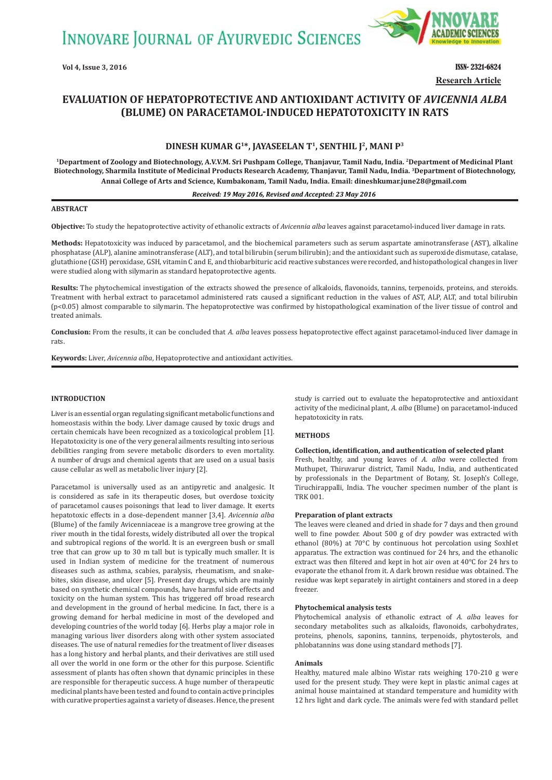**INNOVARE JOURNAL OF AYURVEDIC SCIENCES** 



**Vol 4, Issue 3, 2016** ISSN- 2321-6824 **Research Article**

# **EVALUATION OF HEPATOPROTECTIVE AND ANTIOXIDANT ACTIVITY OF** *AVICENNIA ALBA* **ȍBLUMEȎ ON PARACETAMOLǧINDUCED HEPATOTOXICITY IN RATS**

# **DINESH KUMAR G1\*, JAYASEELAN T1, SENTHIL J2, MANI P3**

**1Department of Zoology and Biotechnology, A.V.V.M. Sri Pushpam College, Thanjavur, Tamil Nadu, India. 2Department of Medicinal Plant Biotechnology, Sharmila Institute of Medicinal Products Research Academy, Thanjavur, Tamil Nadu, India. 3Department of Biotechnology, Annai College of Arts and Science, Kumbakonam, Tamil Nadu, India. Email: dineshkumar.june28@gmail.com**

### *Received: 19 May 2016, Revised and Accepted: 23 May 2016*

## **ABSTRACT**

**Objective:** To study the hepatoprotective activity of ethanolic extracts of *Avicennia alba* leaves against paracetamol-induced liver damage in rats.

**Methods:** Hepatotoxicity was induced by paracetamol, and the biochemical parameters such as serum aspartate aminotransferase (AST), alkaline phosphatase (ALP), alanine aminotransferase (ALT), and total bilirubin (serum bilirubin); and the antioxidant such as superoxide dismutase, catalase, glutathione (GSH) peroxidase, GSH, vitamin C and E, and thiobarbituric acid reactive substances were recorded, and histopathological changes in liver were studied along with silymarin as standard hepatoprotective agents.

Results: The phytochemical investigation of the extracts showed the presence of alkaloids, flavonoids, tannins, terpenoids, proteins, and steroids. Treatment with herbal extract to paracetamol administered rats caused a significant reduction in the values of AST, ALP, ALT, and total bilirubin (p<0.05) almost comparable to silymarin. The hepatoprotective was confirmed by histopathological examination of the liver tissue of control and treated animals.

**Conclusion:** From the results, it can be concluded that *A. alba* leaves possess hepatoprotective effect against paracetamol-induced liver damage in rats.

**Keywords:** Liver, *Avicennia alba*, Hepatoprotective and antioxidant activities.

### **INTRODUCTION**

Liver is an essential organ regulating significant metabolic functions and homeostasis within the body. Liver damage caused by toxic drugs and certain chemicals have been recognized as a toxicological problem [1]. Hepatotoxicity is one of the very general ailments resulting into serious debilities ranging from severe metabolic disorders to even mortality. A number of drugs and chemical agents that are used on a usual basis cause cellular as well as metabolic liver injury [2].

Paracetamol is universally used as an antipyretic and analgesic. It is considered as safe in its therapeutic doses, but overdose toxicity of paracetamol causes poisonings that lead to liver damage. It exerts hepatotoxic effects in a dose-dependent manner [3,4]. *Avicennia alba* (Blume) of the family Avicenniaceae is a mangrove tree growing at the river mouth in the tidal forests, widely distributed all over the tropical and subtropical regions of the world. It is an evergreen bush or small tree that can grow up to 30 m tall but is typically much smaller. It is used in Indian system of medicine for the treatment of numerous diseases such as asthma, scabies, paralysis, rheumatism, and snakebites, skin disease, and ulcer [5]. Present day drugs, which are mainly based on synthetic chemical compounds, have harmful side effects and toxicity on the human system. This has triggered off broad research and development in the ground of herbal medicine. In fact, there is a growing demand for herbal medicine in most of the developed and developing countries of the world today [6]. Herbs play a major role in managing various liver disorders along with other system associated diseases. The use of natural remedies for the treatment of liver diseases has a long history and herbal plants, and their derivatives are still used all over the world in one form or the other for this purpose. Scientific assessment of plants has often shown that dynamic principles in these are responsible for therapeutic success. A huge number of therapeutic medicinal plants have been tested and found to contain active principles with curative properties against a variety of diseases. Hence, the present study is carried out to evaluate the hepatoprotective and antioxidant activity of the medicinal plant, *A. alba* (Blume) on paracetamol-induced hepatotoxicity in rats.

### **METHODS**

#### **Collection, identification, and authentication of selected plant**

Fresh, healthy, and young leaves of *A. alba* were collected from Muthupet, Thiruvarur district, Tamil Nadu, India, and authenticated by professionals in the Department of Botany, St. Joseph's College, Tiruchirappalli, India. The voucher specimen number of the plant is TRK 001.

#### **Preparation of plant extracts**

The leaves were cleaned and dried in shade for 7 days and then ground well to fine powder. About 500 g of dry powder was extracted with ethanol (80%) at 70°C by continuous hot percolation using Soxhlet apparatus. The extraction was continued for 24 hrs, and the ethanolic extract was then filtered and kept in hot air oven at 40°C for 24 hrs to evaporate the ethanol from it. A dark brown residue was obtained. The residue was kept separately in airtight containers and stored in a deep freezer.

### **Phytochemical analysis tests**

Phytochemical analysis of ethanolic extract of *A. alba* leaves for secondary metabolites such as alkaloids, flavonoids, carbohydrates, proteins, phenols, saponins, tannins, terpenoids, phytosterols, and phlobatannins was done using standard methods [7].

### **Animals**

Healthy, matured male albino Wistar rats weighing 170-210 g were used for the present study. They were kept in plastic animal cages at animal house maintained at standard temperature and humidity with 12 hrs light and dark cycle. The animals were fed with standard pellet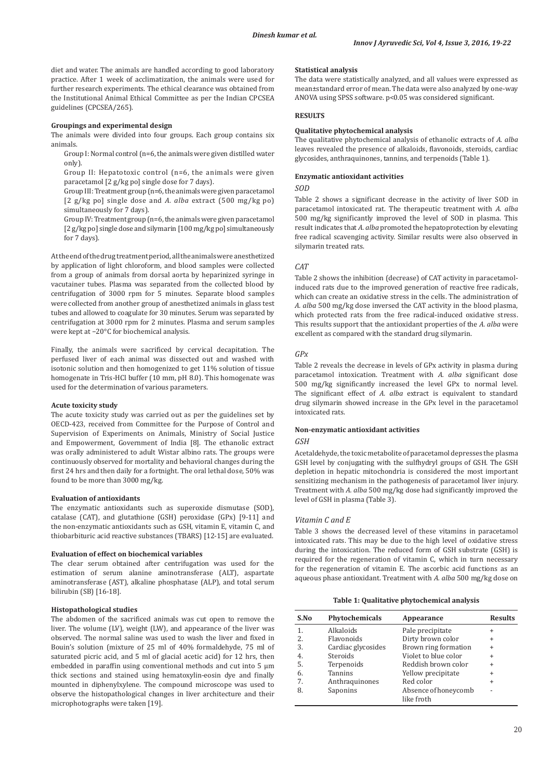diet and water. The animals are handled according to good laboratory practice. After 1 week of acclimatization, the animals were used for further research experiments. The ethical clearance was obtained from the Institutional Animal Ethical Committee as per the Indian CPCSEA guidelines (CPCSEA/265).

#### **Groupings and experimental design**

The animals were divided into four groups. Each group contains six animals.

 Group I: Normal control (n=6, the animals were given distilled water only).

 Group II: Hepatotoxic control (n=6, the animals were given paracetamol [2 g/kg po] single dose for 7 days).

 Group III: Treatment group (n=6, the animals were given paracetamol [2 g/kg po] single dose and *A. alba* extract (500 mg/kg po) simultaneously for 7 days).

 Group IV: Treatment group (n=6, the animals were given paracetamol [2 g/kg po] single dose and silymarin [100 mg/kg po] simultaneously for 7 days).

At the end of the drug treatment period, all the animals were anesthetized by application of light chloroform, and blood samples were collected from a group of animals from dorsal aorta by heparinized syringe in vacutainer tubes. Plasma was separated from the collected blood by centrifugation of 3000 rpm for 5 minutes. Separate blood samples were collected from another group of anesthetized animals in glass test tubes and allowed to coagulate for 30 minutes. Serum was separated by centrifugation at 3000 rpm for 2 minutes. Plasma and serum samples were kept at −20°C for biochemical analysis.

Finally, the animals were sacrificed by cervical decapitation. The perfused liver of each animal was dissected out and washed with isotonic solution and then homogenized to get 11% solution of tissue homogenate in Tris-HCl buffer (10 mm, pH 8.0). This homogenate was used for the determination of various parameters.

### **Acute toxicity study**

The acute toxicity study was carried out as per the guidelines set by OECD-423, received from Committee for the Purpose of Control and Supervision of Experiments on Animals, Ministry of Social Justice and Empowerment, Government of India [8]. The ethanolic extract was orally administered to adult Wistar albino rats. The groups were continuously observed for mortality and behavioral changes during the first 24 hrs and then daily for a fortnight. The oral lethal dose, 50% was found to be more than 3000 mg/kg.

#### **Evaluation of antioxidants**

The enzymatic antioxidants such as superoxide dismutase (SOD), catalase (CAT), and glutathione (GSH) peroxidase (GPx) [9-11] and the non-enzymatic antioxidants such as GSH, vitamin E, vitamin C, and thiobarbituric acid reactive substances (TBARS) [12-15] are evaluated.

#### **Evaluation of effect on biochemical variables**

The clear serum obtained after centrifugation was used for the estimation of serum alanine aminotransferase (ALT), aspartate aminotransferase (AST), alkaline phosphatase (ALP), and total serum bilirubin (SB) [16-18].

#### **Histopathological studies**

The abdomen of the sacrificed animals was cut open to remove the liver. The volume (LV), weight (LW), and appearance of the liver was observed. The normal saline was used to wash the liver and fixed in Bouin's solution (mixture of 25 ml of 40% formaldehyde, 75 ml of saturated picric acid, and 5 ml of glacial acetic acid) for 12 hrs, then embedded in paraffin using conventional methods and cut into 5 μm thick sections and stained using hematoxylin-eosin dye and finally mounted in diphenylxylene. The compound microscope was used to observe the histopathological changes in liver architecture and their microphotographs were taken [19].

#### **Statistical analysis**

The data were statistically analyzed, and all values were expressed as mean±standard error of mean. The data were also analyzed by one-way ANOVA using SPSS software. p<0.05 was considered significant.

### **RESULTS**

### **Qualitative phytochemical analysis**

The qualitative phytochemical analysis of ethanolic extracts of *A. alba*  leaves revealed the presence of alkaloids, flavonoids, steroids, cardiac glycosides, anthraquinones, tannins, and terpenoids (Table 1).

### **Enzymatic antioxidant activities**

#### *SOD*

Table 2 shows a significant decrease in the activity of liver SOD in paracetamol intoxicated rat. The therapeutic treatment with *A. alba* 500 mg/kg significantly improved the level of SOD in plasma. This result indicates that *A. alba* promoted the hepatoprotection by elevating free radical scavenging activity. Similar results were also observed in silymarin treated rats.

#### *CAT*

Table 2 shows the inhibition (decrease) of CAT activity in paracetamolinduced rats due to the improved generation of reactive free radicals, which can create an oxidative stress in the cells. The administration of *A. alba* 500 mg/kg dose inversed the CAT activity in the blood plasma, which protected rats from the free radical-induced oxidative stress. This results support that the antioxidant properties of the *A. alba* were excellent as compared with the standard drug silymarin.

### *GPx*

Table 2 reveals the decrease in levels of GPx activity in plasma during paracetamol intoxication. Treatment with *A. alba* significant dose 500 mg/kg significantly increased the level GPx to normal level. The significant effect of *A. alba* extract is equivalent to standard drug silymarin showed increase in the GPx level in the paracetamol intoxicated rats.

### **Non-enzymatic antioxidant activities**

#### *GSH*

Acetaldehyde, the toxic metabolite of paracetamol depresses the plasma GSH level by conjugating with the sulfhydryl groups of GSH. The GSH depletion in hepatic mitochondria is considered the most important sensitizing mechanism in the pathogenesis of paracetamol liver injury. Treatment with *A. alba* 500 mg/kg dose had significantly improved the level of GSH in plasma (Table 3).

### *Vitamin C and E*

Table 3 shows the decreased level of these vitamins in paracetamol intoxicated rats. This may be due to the high level of oxidative stress during the intoxication. The reduced form of GSH substrate (GSH) is required for the regeneration of vitamin C, which in turn necessary for the regeneration of vitamin E. The ascorbic acid functions as an aqueous phase antioxidant. Treatment with *A. alba* 500 mg/kg dose on

### **Table 1: Qualitative phytochemical analysis**

| S.No | <b>Phytochemicals</b> | Appearance           | <b>Results</b>           |
|------|-----------------------|----------------------|--------------------------|
| 1.   | Alkaloids             | Pale precipitate     | $\ddot{}$                |
| 2.   | Flavonoids            | Dirty brown color    | $\ddot{}$                |
| 3.   | Cardiac glycosides    | Brown ring formation | $\ddot{}$                |
| 4.   | Steroids              | Violet to blue color | $\ddot{}$                |
| 5.   | Terpenoids            | Reddish brown color  | $\ddot{}$                |
| 6.   | <b>Tannins</b>        | Yellow precipitate   | $\ddot{}$                |
| 7.   | Anthraquinones        | Red color            | $\ddot{}$                |
| 8.   | Saponins              | Absence of honeycomb | $\overline{\phantom{0}}$ |
|      |                       | like froth           |                          |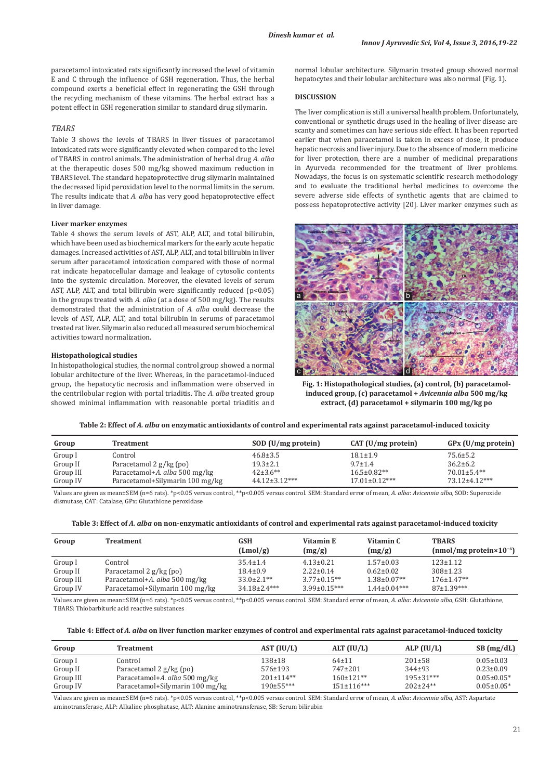paracetamol intoxicated rats significantly increased the level of vitamin E and C through the influence of GSH regeneration. Thus, the herbal compound exerts a beneficial effect in regenerating the GSH through the recycling mechanism of these vitamins. The herbal extract has a potent effect in GSH regeneration similar to standard drug silymarin.

### *TBARS*

Table 3 shows the levels of TBARS in liver tissues of paracetamol intoxicated rats were significantly elevated when compared to the level of TBARS in control animals. The administration of herbal drug *A. alba* at the therapeutic doses 500 mg/kg showed maximum reduction in TBARS level. The standard hepatoprotective drug silymarin maintained the decreased lipid peroxidation level to the normal limits in the serum. The results indicate that *A. alba* has very good hepatoprotective effect in liver damage.

### **Liver marker enzymes**

Table 4 shows the serum levels of AST, ALP, ALT, and total bilirubin, which have been used as biochemical markers for the early acute hepatic damages. Increased activities of AST, ALP, ALT, and total bilirubin in liver serum after paracetamol intoxication compared with those of normal rat indicate hepatocellular damage and leakage of cytosolic contents into the systemic circulation. Moreover, the elevated levels of serum AST, ALP, ALT, and total bilirubin were significantly reduced  $(p<0.05)$ in the groups treated with *A. alba* (at a dose of 500 mg/kg). The results demonstrated that the administration of *A. alba* could decrease the levels of AST, ALP, ALT, and total bilirubin in serums of paracetamol treated rat liver. Silymarin also reduced all measured serum biochemical activities toward normalization.

### **Histopathological studies**

In histopathological studies, the normal control group showed a normal lobular architecture of the liver. Whereas, in the paracetamol-induced group, the hepatocytic necrosis and inflammation were observed in the centrilobular region with portal triaditis. The *A. alba* treated group showed minimal inflammation with reasonable portal triaditis and

normal lobular architecture. Silymarin treated group showed normal hepatocytes and their lobular architecture was also normal (Fig. 1).

### **DISCUSSION**

The liver complication is still a universal health problem. Unfortunately, conventional or synthetic drugs used in the healing of liver disease are scanty and sometimes can have serious side effect. It has been reported earlier that when paracetamol is taken in excess of dose, it produce hepatic necrosis and liver injury. Due to the absence of modern medicine for liver protection, there are a number of medicinal preparations in Ayurveda recommended for the treatment of liver problems. Nowadays, the focus is on systematic scientific research methodology and to evaluate the traditional herbal medicines to overcome the severe adverse side effects of synthetic agents that are claimed to possess hepatoprotective activity [20]. Liver marker enzymes such as



**Fig. 1: Histopathological studies, (a) control, (b) paracetamolinduced group, (c) paracetamol +** *Avicennia alba* **500 mg/kg extract, (d) paracetamol + silymarin 100 mg/kg po**

**Table 2: Effect of** *A. alba* **on enzymatic antioxidants of control and experimental rats against paracetamol-induced toxicity**

| Group     | Treatment                       | SOD (U/mg protein)  | CAT (U/mg protein)  | GPx (U/mg protein) |
|-----------|---------------------------------|---------------------|---------------------|--------------------|
| Group I   | Control                         | $46.8 \pm 3.5$      | $18.1 \pm 1.9$      | $75.6 \pm 5.2$     |
| Group II  | Paracetamol 2 g/kg (po)         | $19.3 \pm 2.1$      | $9.7 \pm 1.4$       | $36.2 \pm 6.2$     |
| Group III | Paracetamol+A. alba 500 mg/kg   | $42\pm3.6**$        | $16.5 \pm 0.82**$   | $70.01 \pm 5.4**$  |
| Group IV  | Paracetamol+Silymarin 100 mg/kg | $44.12 \pm 3.12***$ | $17.01 \pm 0.12***$ | 73.12±4.12***      |

Values are given as mean±SEM (n=6 rats). \*p<0.05 versus control, \*\*p<0.005 versus control. SEM: Standard error of mean, *A. alba*: *Avicennia alba,* SOD: Superoxide dismutase, CAT: Catalase, GPx: Glutathione peroxidase

| Table 3: Effect of A. alba on non-enzymatic antioxidants of control and experimental rats against paracetamol-induced toxicity |  |
|--------------------------------------------------------------------------------------------------------------------------------|--|
|                                                                                                                                |  |

| Group     | <b>Treatment</b>                | <b>GSH</b><br>(Lmol/g) | Vitamin E<br>(mg/g) | Vitamin C<br>(mg/g) | <b>TBARS</b><br>(nmol/mg protein $\times 10^{-6}$ ) |
|-----------|---------------------------------|------------------------|---------------------|---------------------|-----------------------------------------------------|
| Group I   | Control                         | $35.4 \pm 1.4$         | $4.13 \pm 0.21$     | $1.57 \pm 0.03$     | $123 \pm 1.12$                                      |
| Group II  | Paracetamol 2 g/kg (po)         | $18.4 \pm 0.9$         | $2.22 \pm 0.14$     | $0.62 \pm 0.02$     | $308 \pm 1.23$                                      |
| Group III | Paracetamol+A. alba 500 mg/kg   | $33.0 \pm 2.1$ **      | $3.77 \pm 0.15**$   | $1.38 \pm 0.07**$   | $176 \pm 1.47**$                                    |
| Group IV  | Paracetamol+Silymarin 100 mg/kg | $34.18 \pm 2.4***$     | $3.99 \pm 0.15***$  | $1.44 \pm 0.04***$  | $87+1.39***$                                        |
|           |                                 |                        |                     |                     |                                                     |

Values are given as mean±SEM (n=6 rats). \*p<0.05 versus control, \*\*p<0.005 versus control. SEM: Standard error of mean, *A. alba*: *Avicennia alba*, GSH: Glutathione, TBARS: Thiobarbituric acid reactive substances

| Table 4: Effect of <i>A. alba</i> on liver function marker enzymes of control and experimental rats against paracetamol-induced toxicity |  |  |  |
|------------------------------------------------------------------------------------------------------------------------------------------|--|--|--|
|------------------------------------------------------------------------------------------------------------------------------------------|--|--|--|

| Group     | Treatment                       | AST (IU/L)       | ALT $(IU/L)$     | ALP (IU/L)      | SB(mg/dL)        |
|-----------|---------------------------------|------------------|------------------|-----------------|------------------|
| Group I   | Control                         | $138 + 18$       | $64 \pm 11$      | $201 \pm 58$    | $0.05 \pm 0.03$  |
| Group II  | Paracetamol 2 g/kg (po)         | $576 \pm 193$    | $747+201$        | $344+93$        | $0.23 \pm 0.09$  |
| Group III | Paracetamol+A. alba 500 mg/kg   | $201 \pm 114$ ** | $160 \pm 121$ ** | $195 \pm 31***$ | $0.05 \pm 0.05*$ |
| Group IV  | Paracetamol+Silymarin 100 mg/kg | $190 \pm 55***$  | $151\pm116***$   | $202 \pm 24**$  | $0.05 \pm 0.05*$ |

Values are given as mean±SEM (n=6 rats). \*p<0.05 versus control, \*\*p<0.005 versus control. SEM: Standard error of mean, *A. alba*: *Avicennia alba,* AST: Aspartate aminotransferase, ALP: Alkaline phosphatase, ALT: Alanine aminotransferase, SB: Serum bilirubin